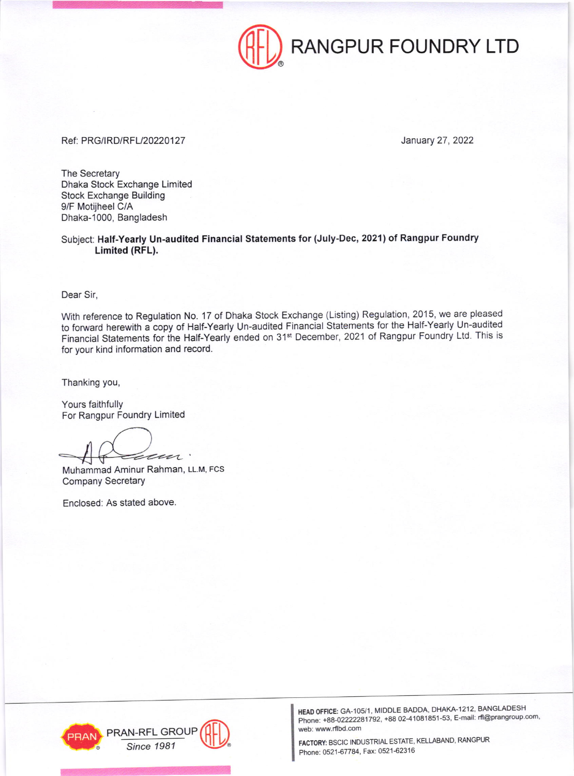@ RANGPUR FOUNDRY LTD

## Ref: PRG/lRD/RFL120220127 Januaty ?7 , 2022

The Secretary Dhaka Stock Exchange Limited Stock Exchange Building 9/F Motijheel C/A Dhaka-1000, Bangladesh

Subject: Half-Yearly Un-audited Financial Statements for (July-Dec, 2021) of Rangpur Foundry Limited (RFL).

Dear Sir,

With reference to Regulation No. 17 of Dhaka Stock Exchange (Listing) Regulation, 2015, we are pleased to forward herewith a copy of Half-Yearly Un-audited Financial Statements for the Half-Yearly Un-audited Financial Statements for the Half-Yearly ended on 31<sup>st</sup> December, 2021 of Rangpur Foundry Ltd. This is for your kind information and record.

Thanking you,

Yours faithfully For Rangpur Foundry Limited

con

Muhammad Aminur Rahman, LL.M, Fcs Company Secretary

Enclosed: As stated above.





HEAD OFFICE: GA-105/1, MIDDLE BADDA, DHAKA-1212, BANGLADESH Phone: +88-02222281792, +88 02-41081851-53, E-mail: rfl@prangroup.com, web: www,rflbd,com

FACTORY: BSCIC INDUSTRIAL ESTATE, KELLABAND, RANGPUR<br>
Phone: 0521-67784, Fax: 0521-62316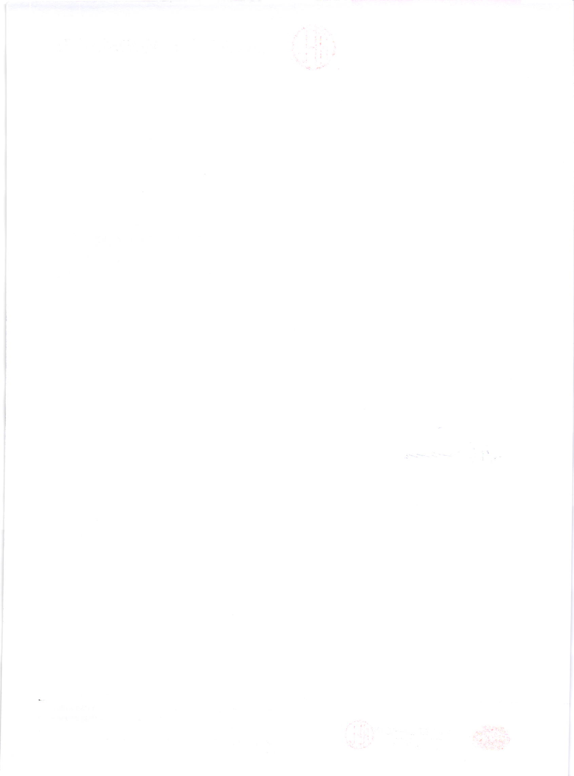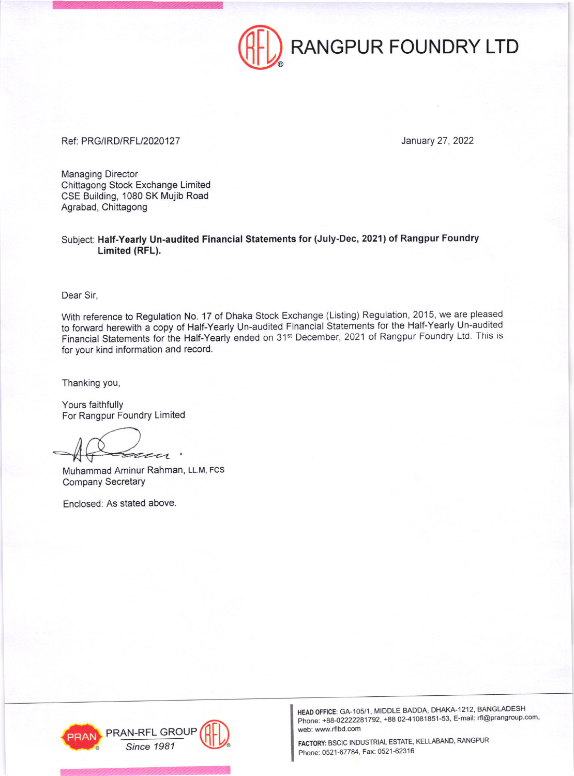

## Ref: PRG/IRD/RFL/2020127 January 27, 2022

Managing Director Chittagong Stock Exchange Limited CSE Building, 1080 SK Mujib Road Agrabad, Chittagong

Subject: Half-Yearly Un-audited Financial Statements for (July-Dec, 2021) of Rangpur Foundry Limited (RFL).

Dear Sir,

With reference to Regulation No. 17 of Dhaka Stock Exchange (Listing) Regulation, 2015, we are pleased to forward herewith a copy of Half-Yearly Un-audited Financial Statements for the Half-Yearly Un-audited Financial Statements for the Half-Yearly ended on 31<sup>st</sup> December, 2021 of Rangpur Foundry Ltd. This is for your kind information and record.

Thanking you,

Yours faithfully For Rangpur Foundry Limited

ran

Muhammad Aminur Rahman, LL.M, Fcs Company Secretary

Enclosed: As stated above.





HEAD OFFICE: GA-105/1, MIDDLE BADDA, DHAKA-1212, BANGLADESH Phone: +88-02222281792, +88 02-41081851-53, E-mail: rfl@prangroup.com, web: www.rflbd.com

Since 1981 **CILICA** FACTORY: BSCIC INDUSTRIAL ESTATE, KELLABAND, RANGPUR<br>Phone: 0521-67784, Fax: 0521-62316